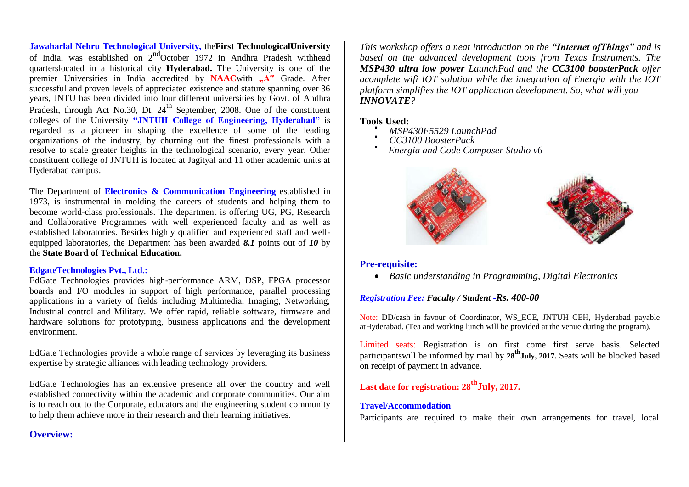**Jawaharlal Nehru Technological University,** the**First TechnologicalUniversity**  of India, was established on  $2^{nd}$ October 1972 in Andhra Pradesh withhead quarterslocated in a historical city **Hyderabad.** The University is one of the premier Universities in India accredited by **NAAC**with **"A"** Grade. After successful and proven levels of appreciated existence and stature spanning over 36 years, JNTU has been divided into four different universities by Govt. of Andhra Pradesh, through Act No.30, Dt.  $24<sup>th</sup>$  September, 2008. One of the constituent colleges of the University **"JNTUH College of Engineering, Hyderabad"** is regarded as a pioneer in shaping the excellence of some of the leading organizations of the industry, by churning out the finest professionals with a resolve to scale greater heights in the technological scenario, every year. Other constituent college of JNTUH is located at Jagityal and 11 other academic units at Hyderabad campus.

The Department of **Electronics & Communication Engineering** established in 1973, is instrumental in molding the careers of students and helping them to become world-class professionals. The department is offering UG, PG, Research and Collaborative Programmes with well experienced faculty and as well as established laboratories. Besides highly qualified and experienced staff and wellequipped laboratories, the Department has been awarded *8.1* points out of *10* by the **State Board of Technical Education.**

#### **EdgateTechnologies Pvt., Ltd.:**

EdGate Technologies provides high-performance ARM, DSP, FPGA processor boards and I/O modules in support of high performance, parallel processing applications in a variety of fields including Multimedia, Imaging, Networking, Industrial control and Military. We offer rapid, reliable software, firmware and hardware solutions for prototyping, business applications and the development environment.

EdGate Technologies provide a whole range of services by leveraging its business expertise by strategic alliances with leading technology providers.

EdGate Technologies has an extensive presence all over the country and well established connectivity within the academic and corporate communities. Our aim is to reach out to the Corporate, educators and the engineering student community to help them achieve more in their research and their learning initiatives.

# **Overview:**

*This workshop offers a neat introduction on the "Internet ofThings" and is based on the advanced development tools from Texas Instruments. The MSP430 ultra low power LaunchPad and the CC3100 boosterPack offer acomplete wifi IOT solution while the integration of Energia with the IOT platform simplifies the IOT application development. So, what will you INNOVATE?*

## **Tools Used:**

- *MSP430F5529 LaunchPad*
- *CC3100 BoosterPack*
- $\bullet$ *Energia and Code Composer Studio v6*



# **Pre-requisite:**

*Basic understanding in Programming, Digital Electronics*

### *Registration Fee: Faculty / Student -Rs. 400-00*

Note: DD/cash in favour of Coordinator, WS\_ECE, JNTUH CEH, Hyderabad payable atHyderabad. (Tea and working lunch will be provided at the venue during the program).

Limited seats: Registration is on first come first serve basis. Selected participantswill be informed by mail by **28thJuly, 2017.** Seats will be blocked based on receipt of payment in advance.

# **Last date for registration: 28thJuly, 2017.**

#### **Travel/Accommodation**

Participants are required to make their own arrangements for travel, local